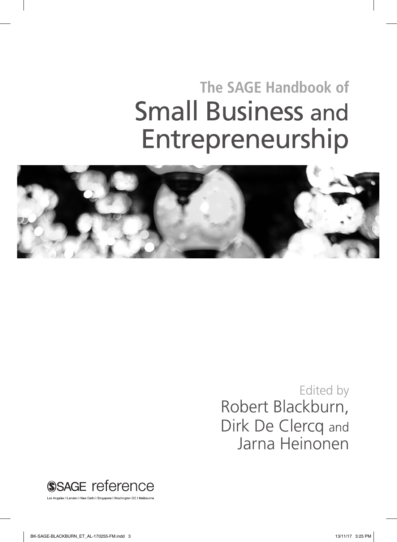# **The SAGE Handbook of Small Business and** Entrepreneurship



Edited by Robert Blackburn, Dirk De Clercq and Jarna Heinonen



Los Angeles | London | New Delhi | Singapore | Washington DC | Melbourne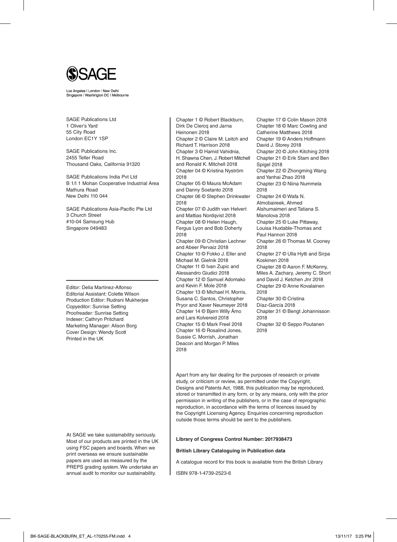

Los Angeles | London | New Delhi Singapore | Washington DC | Melbourne

SAGE Publications Ltd 1 Oliver's Yard 55 City Road London EC1Y 1SP

SAGE Publications Inc. 2455 Teller Road Thousand Oaks, California 91320

SAGE Publications India Pvt Ltd B 1/I 1 Mohan Cooperative Industrial Area Mathura Road New Delhi 110 044

SAGE Publications Asia-Pacific Pte Ltd 3 Church Street #10-04 Samsung Hub Singapore 049483

Editor: Delia Martinez-Alfonso Editorial Assistant: Colette Wilson Production Editor: Rudrani Mukherjee Copyeditor: Sunrise Setting Proofreader: Sunrise Setting Indexer: Cathryn Pritchard Marketing Manager: Alison Borg Cover Design: Wendy Scott Printed in the UK

At SAGE we take sustainability seriously. Most of our products are printed in the UK using FSC papers and boards. When we print overseas we ensure sustainable papers are used as measured by the PREPS grading system. We undertake an annual audit to monitor our sustainability.

Chapter 1 © Robert Blackburn, Dirk De Clercq and Jarna Heinonen 2018 Chapter 2 © Claire M. Leitch and Richard T. Harrison 2018 Chapter 3 © Hamid Vahidnia, H. Shawna Chen, J. Robert Mitchell and Ronald K. Mitchell 2018 Chapter 04 © Kristina Nyström 2018

Chapter 05 © Maura McAdam and Danny Soetanto 2018 Chapter 06 © Stephen Drinkwater 2018

Chapter 07 © Judith van Helvert and Mattias Nordqvist 2018 Chapter 08 © Helen Haugh, Fergus Lyon and Bob Doherty 2018

Chapter 09 © Christian Lechner and Abeer Pervaiz 2018 Chapter 10 © Fokko J. Eller and Michael M. Gielnik 2018 Chapter 11 © Ivan Zupic and Alessandro Giudici 2018 Chapter 12 © Samuel Adomako and Kevin F. Mole 2018 Chapter 13 © Michael H. Morris, Susana C. Santos, Christopher Pryor and Xaver Neumeyer 2018 Chapter 14 © Bjørn Willy Åmo and Lars Kolvereid 2018 Chapter 15 © Mark Freel 2018 Chapter 16 © Rosalind Jones, Sussie C. Morrish, Jonathan Deacon and Morgan P. Miles 2018

Chapter 17 © Colin Mason 2018 Chapter 18 © Marc Cowling and Catherine Matthews 2018 Chapter 19 © Anders Hoffmann David J. Storey 2018 Chapter 20 © John Kitching 2018 Chapter 21 © Erik Stam and Ben Spigel 2018 Chapter 22 © Zhongming Wang and Yanhai Zhao 2018 Chapter 23 © Niina Nummela 2018 Chapter 24 © Wafa N. Almobaireek, Ahmed Alshumaimeri and Tatiana S. Manolova 2018 Chapter 25 © Luke Pittaway, Louisa Huxtable-Thomas and Paul Hannon 2018 Chapter 26 © Thomas M. Cooney 2018 Chapter 27 © Ulla Hytti and Sirpa Koskinen 2018 Chapter 28 © Aaron F. McKenny, Miles A. Zachary, Jeremy C. Short and David J. Ketchen Jnr 2018 Chapter 29 © Anne Kovalainen 2018 Chapter 30 © Cristina Díaz-García 2018 Chapter 31 © Bengt Johannisson 2018 Chapter 32 © Seppo Poutanen 2018

Apart from any fair dealing for the purposes of research or private study, or criticism or review, as permitted under the Copyright, Designs and Patents Act, 1988, this publication may be reproduced, stored or transmitted in any form, or by any means, only with the prior permission in writing of the publishers, or in the case of reprographic reproduction, in accordance with the terms of licences issued by the Copyright Licensing Agency. Enquiries concerning reproduction outside those terms should be sent to the publishers.

#### **Library of Congress Control Number: 2017938473**

#### **British Library Cataloguing in Publication data**

A catalogue record for this book is available from the British Library

ISBN 978-1-4739-2523-6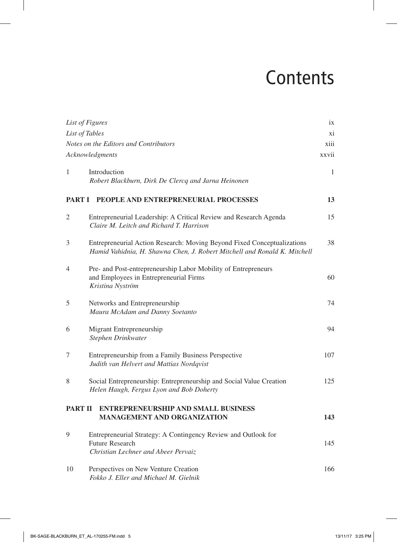# **Contents**

|                | List of Figures                                                                                                                                      | ix           |
|----------------|------------------------------------------------------------------------------------------------------------------------------------------------------|--------------|
|                | List of Tables                                                                                                                                       | xi           |
|                | Notes on the Editors and Contributors                                                                                                                | X111         |
|                | Acknowledgments                                                                                                                                      | xxvii        |
| $\mathbf{1}$   | Introduction<br>Robert Blackburn, Dirk De Clercq and Jarna Heinonen                                                                                  | $\mathbf{1}$ |
| <b>PART I</b>  | PEOPLE AND ENTREPRENEURIAL PROCESSES                                                                                                                 | 13           |
| 2              | Entrepreneurial Leadership: A Critical Review and Research Agenda<br>Claire M. Leitch and Richard T. Harrison                                        | 15           |
| 3              | Entrepreneurial Action Research: Moving Beyond Fixed Conceptualizations<br>Hamid Vahidnia, H. Shawna Chen, J. Robert Mitchell and Ronald K. Mitchell | 38           |
| 4              | Pre- and Post-entrepreneurship Labor Mobility of Entrepreneurs<br>and Employees in Entrepreneurial Firms<br>Kristina Nyström                         | 60           |
| 5              | Networks and Entrepreneurship<br>Maura McAdam and Danny Soetanto                                                                                     | 74           |
| 6              | Migrant Entrepreneurship<br>Stephen Drinkwater                                                                                                       | 94           |
| 7              | Entrepreneurship from a Family Business Perspective<br>Judith van Helvert and Mattias Nordqvist                                                      | 107          |
| 8              | Social Entrepreneurship: Entrepreneurship and Social Value Creation<br>Helen Haugh, Fergus Lyon and Bob Doherty                                      | 125          |
| <b>PART II</b> | <b>ENTREPRENEURSHIP AND SMALL BUSINESS</b><br><b>MANAGEMENT AND ORGANIZATION</b>                                                                     | 143          |
| 9              | Entrepreneurial Strategy: A Contingency Review and Outlook for<br><b>Future Research</b><br>Christian Lechner and Abeer Pervaiz                      | 145          |
| 10             | Perspectives on New Venture Creation<br>Fokko J. Eller and Michael M. Gielnik                                                                        | 166          |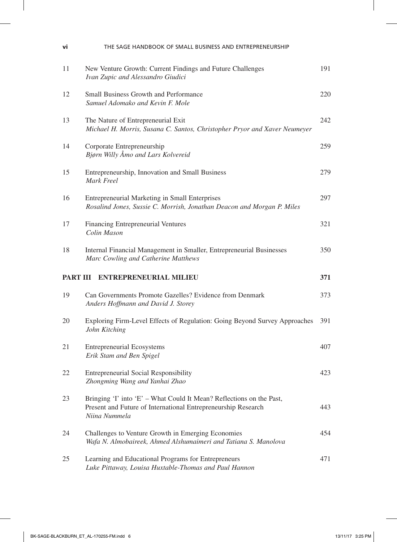| vi | THE SAGE HANDBOOK OF SMALL BUSINESS AND ENTREPRENEURSHIP                                                                                               |     |  |
|----|--------------------------------------------------------------------------------------------------------------------------------------------------------|-----|--|
| 11 | New Venture Growth: Current Findings and Future Challenges<br>Ivan Zupic and Alessandro Giudici                                                        | 191 |  |
| 12 | Small Business Growth and Performance<br>Samuel Adomako and Kevin F. Mole                                                                              | 220 |  |
| 13 | The Nature of Entrepreneurial Exit<br>Michael H. Morris, Susana C. Santos, Christopher Pryor and Xaver Neumeyer                                        | 242 |  |
| 14 | Corporate Entrepreneurship<br>Bjørn Willy Åmo and Lars Kolvereid                                                                                       | 259 |  |
| 15 | Entrepreneurship, Innovation and Small Business<br>Mark Freel                                                                                          | 279 |  |
| 16 | Entrepreneurial Marketing in Small Enterprises<br>Rosalind Jones, Sussie C. Morrish, Jonathan Deacon and Morgan P. Miles                               | 297 |  |
| 17 | Financing Entrepreneurial Ventures<br>Colin Mason                                                                                                      | 321 |  |
| 18 | Internal Financial Management in Smaller, Entrepreneurial Businesses<br>Marc Cowling and Catherine Matthews                                            | 350 |  |
|    | <b>ENTREPRENEURIAL MILIEU</b><br>PART III                                                                                                              |     |  |
| 19 | Can Governments Promote Gazelles? Evidence from Denmark<br>Anders Hoffmann and David J. Storey                                                         | 373 |  |
| 20 | Exploring Firm-Level Effects of Regulation: Going Beyond Survey Approaches<br>John Kitching                                                            | 391 |  |
| 21 | <b>Entrepreneurial Ecosystems</b><br>Erik Stam and Ben Spigel                                                                                          | 407 |  |
| 22 | <b>Entrepreneurial Social Responsibility</b><br>Zhongming Wang and Yanhai Zhao                                                                         | 423 |  |
| 23 | Bringing 'I' into 'E' – What Could It Mean? Reflections on the Past,<br>Present and Future of International Entrepreneurship Research<br>Niina Nummela | 443 |  |
| 24 | Challenges to Venture Growth in Emerging Economies<br>Wafa N. Almobaireek, Ahmed Alshumaimeri and Tatiana S. Manolova                                  | 454 |  |
| 25 | Learning and Educational Programs for Entrepreneurs<br>Luke Pittaway, Louisa Huxtable-Thomas and Paul Hannon                                           | 471 |  |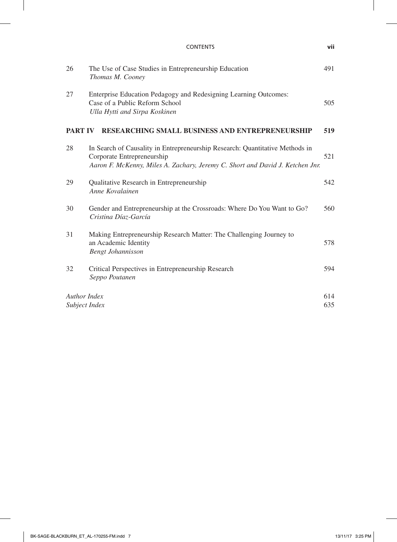|                                                                          | <b>CONTENTS</b>                                                                                                                                                                             | vii        |
|--------------------------------------------------------------------------|---------------------------------------------------------------------------------------------------------------------------------------------------------------------------------------------|------------|
| 26                                                                       | The Use of Case Studies in Entrepreneurship Education<br>Thomas M. Cooney                                                                                                                   | 491        |
| 27                                                                       | Enterprise Education Pedagogy and Redesigning Learning Outcomes:<br>Case of a Public Reform School<br>Ulla Hytti and Sirpa Koskinen                                                         | 505        |
| <b>PART IV</b><br><b>RESEARCHING SMALL BUSINESS AND ENTREPRENEURSHIP</b> |                                                                                                                                                                                             |            |
| 28                                                                       | In Search of Causality in Entrepreneurship Research: Quantitative Methods in<br>Corporate Entrepreneurship<br>Aaron F. McKenny, Miles A. Zachary, Jeremy C. Short and David J. Ketchen Jnr. | 521        |
| 29                                                                       | Qualitative Research in Entrepreneurship<br>Anne Kovalainen                                                                                                                                 | 542        |
| 30                                                                       | Gender and Entrepreneurship at the Crossroads: Where Do You Want to Go?<br>Cristina Díaz-García                                                                                             | 560        |
| 31                                                                       | Making Entrepreneurship Research Matter: The Challenging Journey to<br>an Academic Identity<br><b>Bengt Johannisson</b>                                                                     | 578        |
| 32                                                                       | Critical Perspectives in Entrepreneurship Research<br>Seppo Poutanen                                                                                                                        | 594        |
| Author Index<br>Subject Index                                            |                                                                                                                                                                                             | 614<br>635 |

I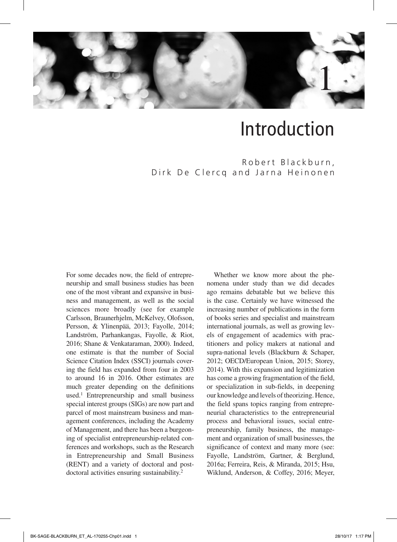

## Introduction

Robert Blackburn, Dirk De Clercq and Jarna Heinonen

For some decades now, the field of entrepreneurship and small business studies has been one of the most vibrant and expansive in business and management, as well as the social sciences more broadly (see for example Carlsson, Braunerhjelm, McKelvey, Olofsson, Persson, & Ylinenpää, 2013; Fayolle, 2014; Landström, Parhankangas, Fayolle, & Riot, 2016; Shane & Venkataraman, 2000). Indeed, one estimate is that the number of Social Science Citation Index (SSCI) journals covering the field has expanded from four in 2003 to around 16 in 2016. Other estimates are much greater depending on the definitions used.1 Entrepreneurship and small business special interest groups (SIGs) are now part and parcel of most mainstream business and management conferences, including the Academy of Management, and there has been a burgeoning of specialist entrepreneurship-related conferences and workshops, such as the Research in Entrepreneurship and Small Business (RENT) and a variety of doctoral and postdoctoral activities ensuring sustainability.2

Whether we know more about the phenomena under study than we did decades ago remains debatable but we believe this is the case. Certainly we have witnessed the increasing number of publications in the form of books series and specialist and mainstream international journals, as well as growing levels of engagement of academics with practitioners and policy makers at national and supra-national levels (Blackburn & Schaper, 2012; OECD/European Union, 2015; Storey, 2014). With this expansion and legitimization has come a growing fragmentation of the field, or specialization in sub-fields, in deepening our knowledge and levels of theorizing. Hence, the field spans topics ranging from entrepreneurial characteristics to the entrepreneurial process and behavioral issues, social entrepreneurship, family business, the management and organization of small businesses, the significance of context and many more (see: Fayolle, Landström, Gartner, & Berglund, 2016a; Ferreira, Reis, & Miranda, 2015; Hsu, Wiklund, Anderson, & Coffey, 2016; Meyer,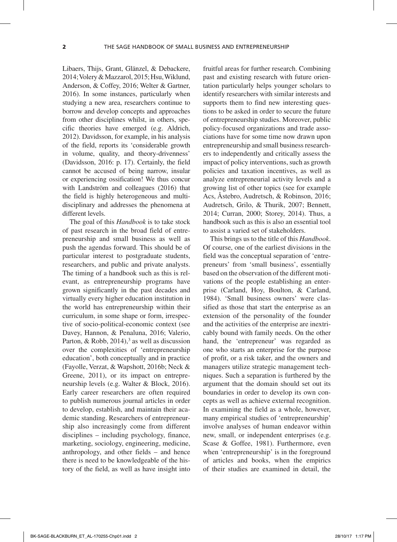Libaers, Thijs, Grant, Glänzel, & Debackere, 2014; Volery & Mazzarol, 2015; Hsu, Wiklund, Anderson, & Coffey, 2016; Welter & Gartner, 2016). In some instances, particularly when studying a new area, researchers continue to borrow and develop concepts and approaches from other disciplines whilst, in others, specific theories have emerged (e.g. Aldrich, 2012). Davidsson, for example, in his analysis of the field, reports its 'considerable growth in volume, quality, and theory-drivenness' (Davidsson, 2016: p. 17). Certainly, the field cannot be accused of being narrow, insular or experiencing ossification! We thus concur with Landström and colleagues (2016) that the field is highly heterogeneous and multidisciplinary and addresses the phenomena at different levels.

The goal of this *Handbook* is to take stock of past research in the broad field of entrepreneurship and small business as well as push the agendas forward. This should be of particular interest to postgraduate students, researchers, and public and private analysts. The timing of a handbook such as this is relevant, as entrepreneurship programs have grown significantly in the past decades and virtually every higher education institution in the world has entrepreneurship within their curriculum, in some shape or form, irrespective of socio-political-economic context (see Davey, Hannon, & Penaluna, 2016; Valerio, Parton,  $& Robb, 2014$ ,  $3$  as well as discussion over the complexities of 'entrepreneurship education', both conceptually and in practice (Fayolle, Verzat, & Wapshott, 2016b; Neck & Greene, 2011), or its impact on entrepreneurship levels (e.g. Walter & Block, 2016). Early career researchers are often required to publish numerous journal articles in order to develop, establish, and maintain their academic standing. Researchers of entrepreneurship also increasingly come from different disciplines – including psychology, finance, marketing, sociology, engineering, medicine, anthropology, and other fields – and hence there is need to be knowledgeable of the history of the field, as well as have insight into

fruitful areas for further research. Combining past and existing research with future orientation particularly helps younger scholars to identify researchers with similar interests and supports them to find new interesting questions to be asked in order to secure the future of entrepreneurship studies. Moreover, public policy-focused organizations and trade associations have for some time now drawn upon entrepreneurship and small business researchers to independently and critically assess the impact of policy interventions, such as growth policies and taxation incentives, as well as analyze entrepreneurial activity levels and a growing list of other topics (see for example Acs, Åstebro, Audretsch, & Robinson, 2016; Audretsch, Grilo, & Thurik, 2007; Bennett, 2014; Curran, 2000; Storey, 2014). Thus, a handbook such as this is also an essential tool to assist a varied set of stakeholders.

This brings us to the title of this *Handbook*. Of course, one of the earliest divisions in the field was the conceptual separation of 'entrepreneurs' from 'small business', essentially based on the observation of the different motivations of the people establishing an enterprise (Carland, Hoy, Boulton, & Carland, 1984). 'Small business owners' were classified as those that start the enterprise as an extension of the personality of the founder and the activities of the enterprise are inextricably bound with family needs. On the other hand, the 'entrepreneur' was regarded as one who starts an enterprise for the purpose of profit, or a risk taker, and the owners and managers utilize strategic management techniques. Such a separation is furthered by the argument that the domain should set out its boundaries in order to develop its own concepts as well as achieve external recognition. In examining the field as a whole, however, many empirical studies of 'entrepreneurship' involve analyses of human endeavor within new, small, or independent enterprises (e.g. Scase & Goffee, 1981). Furthermore, even when 'entrepreneurship' is in the foreground of articles and books, when the empirics of their studies are examined in detail, the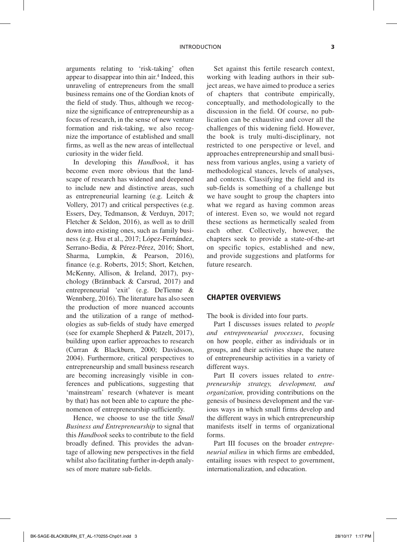arguments relating to 'risk-taking' often appear to disappear into thin air.<sup>4</sup> Indeed, this unraveling of entrepreneurs from the small business remains one of the Gordian knots of the field of study. Thus, although we recognize the significance of entrepreneurship as a focus of research, in the sense of new venture formation and risk-taking, we also recognize the importance of established and small firms, as well as the new areas of intellectual curiosity in the wider field.

In developing this *Handbook*, it has become even more obvious that the landscape of research has widened and deepened to include new and distinctive areas, such as entrepreneurial learning (e.g. Leitch & Vollery, 2017) and critical perspectives (e.g. Essers, Dey, Tedmanson, & Verduyn, 2017; Fletcher & Seldon, 2016), as well as to drill down into existing ones, such as family business (e.g. Hsu et al., 2017; López-Fernández, Serrano-Bedia, & Pérez-Pérez, 2016; Short, Sharma, Lumpkin, & Pearson, 2016), finance (e.g. Roberts, 2015; Short, Ketchen, McKenny, Allison, & Ireland, 2017), psychology (Brännback & Carsrud, 2017) and entrepreneurial 'exit' (e.g. DeTienne & Wennberg, 2016). The literature has also seen the production of more nuanced accounts and the utilization of a range of methodologies as sub-fields of study have emerged (see for example Shepherd & Patzelt, 2017), building upon earlier approaches to research (Curran & Blackburn, 2000; Davidsson, 2004). Furthermore, critical perspectives to entrepreneurship and small business research are becoming increasingly visible in conferences and publications, suggesting that 'mainstream' research (whatever is meant by that) has not been able to capture the phenomenon of entrepreneurship sufficiently.

Hence, we choose to use the title *Small Business and Entrepreneurship* to signal that this *Handbook* seeks to contribute to the field broadly defined. This provides the advantage of allowing new perspectives in the field whilst also facilitating further in-depth analyses of more mature sub-fields.

Set against this fertile research context, working with leading authors in their subject areas, we have aimed to produce a series of chapters that contribute empirically, conceptually, and methodologically to the discussion in the field. Of course, no publication can be exhaustive and cover all the challenges of this widening field. However, the book is truly multi-disciplinary, not restricted to one perspective or level, and approaches entrepreneurship and small business from various angles, using a variety of methodological stances, levels of analyses, and contexts. Classifying the field and its sub-fields is something of a challenge but we have sought to group the chapters into what we regard as having common areas of interest. Even so, we would not regard these sections as hermetically sealed from each other. Collectively, however, the chapters seek to provide a state-of-the-art on specific topics, established and new, and provide suggestions and platforms for future research.

#### Chapter Overviews

The book is divided into four parts.

Part I discusses issues related to *people and entrepreneurial processes*, focusing on how people, either as individuals or in groups, and their activities shape the nature of entrepreneurship activities in a variety of different ways.

Part II covers issues related to *entrepreneurship strategy, development, and organization,* providing contributions on the genesis of business development and the various ways in which small firms develop and the different ways in which entrepreneurship manifests itself in terms of organizational forms.

Part III focuses on the broader *entrepreneurial milieu* in which firms are embedded, entailing issues with respect to government, internationalization, and education.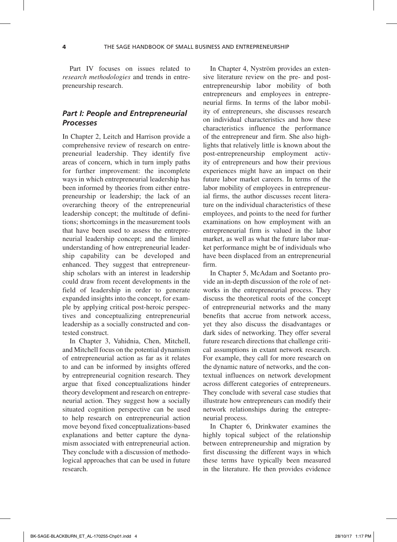Part IV focuses on issues related to *research methodologies* and trends in entrepreneurship research.

### *Part I: People and Entrepreneurial Processes*

In Chapter 2, Leitch and Harrison provide a comprehensive review of research on entrepreneurial leadership. They identify five areas of concern, which in turn imply paths for further improvement: the incomplete ways in which entrepreneurial leadership has been informed by theories from either entrepreneurship or leadership; the lack of an overarching theory of the entrepreneurial leadership concept; the multitude of definitions; shortcomings in the measurement tools that have been used to assess the entrepreneurial leadership concept; and the limited understanding of how entrepreneurial leadership capability can be developed and enhanced. They suggest that entrepreneurship scholars with an interest in leadership could draw from recent developments in the field of leadership in order to generate expanded insights into the concept, for example by applying critical post-heroic perspectives and conceptualizing entrepreneurial leadership as a socially constructed and contested construct.

In Chapter 3, Vahidnia, Chen, Mitchell, and Mitchell focus on the potential dynamism of entrepreneurial action as far as it relates to and can be informed by insights offered by entrepreneurial cognition research. They argue that fixed conceptualizations hinder theory development and research on entrepreneurial action. They suggest how a socially situated cognition perspective can be used to help research on entrepreneurial action move beyond fixed conceptualizations-based explanations and better capture the dynamism associated with entrepreneurial action. They conclude with a discussion of methodological approaches that can be used in future research.

In Chapter 4, Nyström provides an extensive literature review on the pre- and postentrepreneurship labor mobility of both entrepreneurs and employees in entrepreneurial firms. In terms of the labor mobility of entrepreneurs, she discusses research on individual characteristics and how these characteristics influence the performance of the entrepreneur and firm. She also highlights that relatively little is known about the post-entrepreneurship employment activity of entrepreneurs and how their previous experiences might have an impact on their future labor market careers. In terms of the labor mobility of employees in entrepreneurial firms, the author discusses recent literature on the individual characteristics of these employees, and points to the need for further examinations on how employment with an entrepreneurial firm is valued in the labor market, as well as what the future labor market performance might be of individuals who have been displaced from an entrepreneurial firm.

In Chapter 5, McAdam and Soetanto provide an in-depth discussion of the role of networks in the entrepreneurial process. They discuss the theoretical roots of the concept of entrepreneurial networks and the many benefits that accrue from network access, yet they also discuss the disadvantages or dark sides of networking. They offer several future research directions that challenge critical assumptions in extant network research. For example, they call for more research on the dynamic nature of networks, and the contextual influences on network development across different categories of entrepreneurs. They conclude with several case studies that illustrate how entrepreneurs can modify their network relationships during the entrepreneurial process.

In Chapter 6, Drinkwater examines the highly topical subject of the relationship between entrepreneurship and migration by first discussing the different ways in which these terms have typically been measured in the literature. He then provides evidence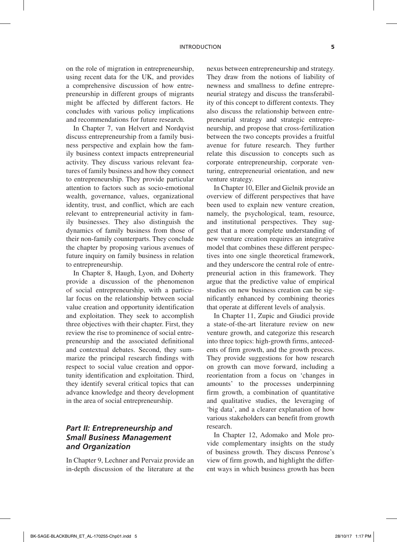on the role of migration in entrepreneurship, using recent data for the UK, and provides a comprehensive discussion of how entrepreneurship in different groups of migrants might be affected by different factors. He concludes with various policy implications and recommendations for future research.

In Chapter 7, van Helvert and Nordqvist discuss entrepreneurship from a family business perspective and explain how the family business context impacts entrepreneurial activity. They discuss various relevant features of family business and how they connect to entrepreneurship. They provide particular attention to factors such as socio-emotional wealth, governance, values, organizational identity, trust, and conflict, which are each relevant to entrepreneurial activity in family businesses. They also distinguish the dynamics of family business from those of their non-family counterparts. They conclude the chapter by proposing various avenues of future inquiry on family business in relation to entrepreneurship.

In Chapter 8, Haugh, Lyon, and Doherty provide a discussion of the phenomenon of social entrepreneurship, with a particular focus on the relationship between social value creation and opportunity identification and exploitation. They seek to accomplish three objectives with their chapter. First, they review the rise to prominence of social entrepreneurship and the associated definitional and contextual debates. Second, they summarize the principal research findings with respect to social value creation and opportunity identification and exploitation. Third, they identify several critical topics that can advance knowledge and theory development in the area of social entrepreneurship.

### *Part II: Entrepreneurship and Small Business Management and Organization*

In Chapter 9, Lechner and Pervaiz provide an in-depth discussion of the literature at the nexus between entrepreneurship and strategy. They draw from the notions of liability of newness and smallness to define entrepreneurial strategy and discuss the transferability of this concept to different contexts. They also discuss the relationship between entrepreneurial strategy and strategic entrepreneurship, and propose that cross-fertilization between the two concepts provides a fruitful avenue for future research. They further relate this discussion to concepts such as corporate entrepreneurship, corporate venturing, entrepreneurial orientation, and new venture strategy.

In Chapter 10, Eller and Gielnik provide an overview of different perspectives that have been used to explain new venture creation, namely, the psychological, team, resource, and institutional perspectives. They suggest that a more complete understanding of new venture creation requires an integrative model that combines these different perspectives into one single theoretical framework, and they underscore the central role of entrepreneurial action in this framework. They argue that the predictive value of empirical studies on new business creation can be significantly enhanced by combining theories that operate at different levels of analysis.

In Chapter 11, Zupic and Giudici provide a state-of-the-art literature review on new venture growth, and categorize this research into three topics: high-growth firms, antecedents of firm growth, and the growth process. They provide suggestions for how research on growth can move forward, including a reorientation from a focus on 'changes in amounts' to the processes underpinning firm growth, a combination of quantitative and qualitative studies, the leveraging of 'big data', and a clearer explanation of how various stakeholders can benefit from growth research.

In Chapter 12, Adomako and Mole provide complementary insights on the study of business growth. They discuss Penrose's view of firm growth, and highlight the different ways in which business growth has been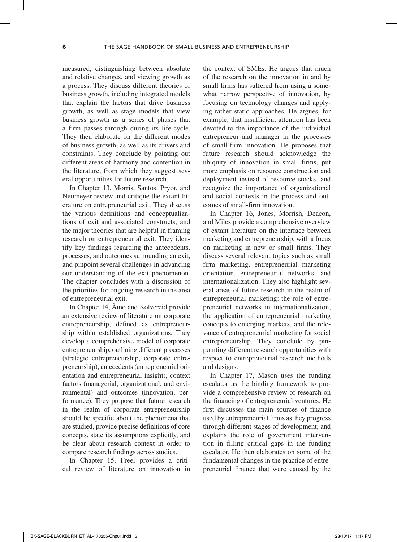measured, distinguishing between absolute and relative changes, and viewing growth as a process. They discuss different theories of business growth, including integrated models that explain the factors that drive business growth, as well as stage models that view business growth as a series of phases that a firm passes through during its life-cycle. They then elaborate on the different modes of business growth, as well as its drivers and constraints. They conclude by pointing out different areas of harmony and contention in the literature, from which they suggest several opportunities for future research.

In Chapter 13, Morris, Santos, Pryor, and Neumeyer review and critique the extant literature on entrepreneurial exit. They discuss the various definitions and conceptualizations of exit and associated constructs, and the major theories that are helpful in framing research on entrepreneurial exit. They identify key findings regarding the antecedents, processes, and outcomes surrounding an exit, and pinpoint several challenges in advancing our understanding of the exit phenomenon. The chapter concludes with a discussion of the priorities for ongoing research in the area of entrepreneurial exit.

In Chapter 14, Åmo and Kolvereid provide an extensive review of literature on corporate entrepreneurship, defined as entrepreneurship within established organizations. They develop a comprehensive model of corporate entrepreneurship, outlining different processes (strategic entrepreneurship, corporate entrepreneurship), antecedents (entrepreneurial orientation and entrepreneurial insight), context factors (managerial, organizational, and environmental) and outcomes (innovation, performance). They propose that future research in the realm of corporate entrepreneurship should be specific about the phenomena that are studied, provide precise definitions of core concepts, state its assumptions explicitly, and be clear about research context in order to compare research findings across studies.

In Chapter 15, Freel provides a critical review of literature on innovation in

the context of SMEs. He argues that much of the research on the innovation in and by small firms has suffered from using a somewhat narrow perspective of innovation, by focusing on technology changes and applying rather static approaches. He argues, for example, that insufficient attention has been devoted to the importance of the individual entrepreneur and manager in the processes of small-firm innovation. He proposes that future research should acknowledge the ubiquity of innovation in small firms, put more emphasis on resource construction and deployment instead of resource stocks, and recognize the importance of organizational and social contexts in the process and outcomes of small-firm innovation.

In Chapter 16, Jones, Morrish, Deacon, and Miles provide a comprehensive overview of extant literature on the interface between marketing and entrepreneurship, with a focus on marketing in new or small firms. They discuss several relevant topics such as small firm marketing, entrepreneurial marketing orientation, entrepreneurial networks, and internationalization. They also highlight several areas of future research in the realm of entrepreneurial marketing: the role of entrepreneurial networks in internationalization, the application of entrepreneurial marketing concepts to emerging markets, and the relevance of entrepreneurial marketing for social entrepreneurship. They conclude by pinpointing different research opportunities with respect to entrepreneurial research methods and designs.

In Chapter 17, Mason uses the funding escalator as the binding framework to provide a comprehensive review of research on the financing of entrepreneurial ventures. He first discusses the main sources of finance used by entrepreneurial firms as they progress through different stages of development, and explains the role of government intervention in filling critical gaps in the funding escalator. He then elaborates on some of the fundamental changes in the practice of entrepreneurial finance that were caused by the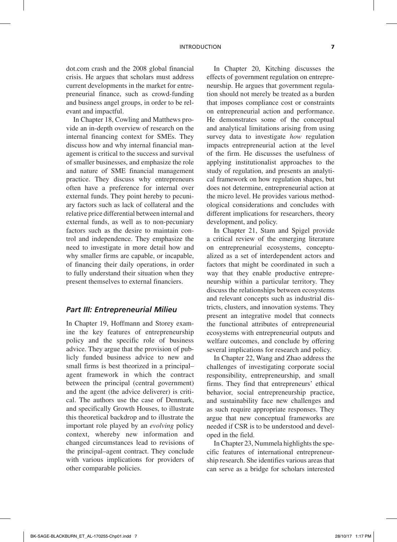dot.com crash and the 2008 global financial crisis. He argues that scholars must address current developments in the market for entrepreneurial finance, such as crowd-funding and business angel groups, in order to be relevant and impactful.

In Chapter 18, Cowling and Matthews provide an in-depth overview of research on the internal financing context for SMEs. They discuss how and why internal financial management is critical to the success and survival of smaller businesses, and emphasize the role and nature of SME financial management practice. They discuss why entrepreneurs often have a preference for internal over external funds. They point hereby to pecuniary factors such as lack of collateral and the relative price differential between internal and external funds, as well as to non-pecuniary factors such as the desire to maintain control and independence. They emphasize the need to investigate in more detail how and why smaller firms are capable, or incapable, of financing their daily operations, in order to fully understand their situation when they present themselves to external financiers.

#### *Part III: Entrepreneurial Milieu*

In Chapter 19, Hoffmann and Storey examine the key features of entrepreneurship policy and the specific role of business advice. They argue that the provision of publicly funded business advice to new and small firms is best theorized in a principal– agent framework in which the contract between the principal (central government) and the agent (the advice deliverer) is critical. The authors use the case of Denmark, and specifically Growth Houses, to illustrate this theoretical backdrop and to illustrate the important role played by an *evolving* policy context, whereby new information and changed circumstances lead to revisions of the principal–agent contract. They conclude with various implications for providers of other comparable policies.

In Chapter 20, Kitching discusses the effects of government regulation on entrepreneurship. He argues that government regulation should not merely be treated as a burden that imposes compliance cost or constraints on entrepreneurial action and performance. He demonstrates some of the conceptual and analytical limitations arising from using survey data to investigate *how* regulation impacts entrepreneurial action at the level of the firm. He discusses the usefulness of applying institutionalist approaches to the study of regulation, and presents an analytical framework on how regulation shapes, but does not determine, entrepreneurial action at the micro level. He provides various methodological considerations and concludes with different implications for researchers, theory development, and policy.

In Chapter 21, Stam and Spigel provide a critical review of the emerging literature on entrepreneurial ecosystems, conceptualized as a set of interdependent actors and factors that might be coordinated in such a way that they enable productive entrepreneurship within a particular territory. They discuss the relationships between ecosystems and relevant concepts such as industrial districts, clusters, and innovation systems. They present an integrative model that connects the functional attributes of entrepreneurial ecosystems with entrepreneurial outputs and welfare outcomes, and conclude by offering several implications for research and policy.

In Chapter 22, Wang and Zhao address the challenges of investigating corporate social responsibility, entrepreneurship, and small firms. They find that entrepreneurs' ethical behavior, social entrepreneurship practice, and sustainability face new challenges and as such require appropriate responses. They argue that new conceptual frameworks are needed if CSR is to be understood and developed in the field.

In Chapter 23, Nummela highlights the specific features of international entrepreneurship research. She identifies various areas that can serve as a bridge for scholars interested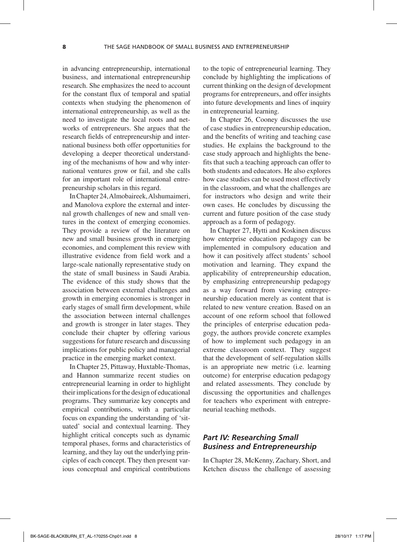in advancing entrepreneurship, international business, and international entrepreneurship research. She emphasizes the need to account for the constant flux of temporal and spatial contexts when studying the phenomenon of international entrepreneurship, as well as the need to investigate the local roots and networks of entrepreneurs. She argues that the research fields of entrepreneurship and international business both offer opportunities for developing a deeper theoretical understanding of the mechanisms of how and why international ventures grow or fail, and she calls for an important role of international entrepreneurship scholars in this regard.

In Chapter 24, Almobaireek, Alshumaimeri, and Manolova explore the external and internal growth challenges of new and small ventures in the context of emerging economies. They provide a review of the literature on new and small business growth in emerging economies, and complement this review with illustrative evidence from field work and a large-scale nationally representative study on the state of small business in Saudi Arabia. The evidence of this study shows that the association between external challenges and growth in emerging economies is stronger in early stages of small firm development, while the association between internal challenges and growth is stronger in later stages. They conclude their chapter by offering various suggestions for future research and discussing implications for public policy and managerial practice in the emerging market context.

In Chapter 25, Pittaway, Huxtable-Thomas, and Hannon summarize recent studies on entrepreneurial learning in order to highlight their implications for the design of educational programs. They summarize key concepts and empirical contributions, with a particular focus on expanding the understanding of 'situated' social and contextual learning. They highlight critical concepts such as dynamic temporal phases, forms and characteristics of learning, and they lay out the underlying principles of each concept. They then present various conceptual and empirical contributions

to the topic of entrepreneurial learning. They conclude by highlighting the implications of current thinking on the design of development programs for entrepreneurs, and offer insights into future developments and lines of inquiry in entrepreneurial learning.

In Chapter 26, Cooney discusses the use of case studies in entrepreneurship education, and the benefits of writing and teaching case studies. He explains the background to the case study approach and highlights the benefits that such a teaching approach can offer to both students and educators. He also explores how case studies can be used most effectively in the classroom, and what the challenges are for instructors who design and write their own cases. He concludes by discussing the current and future position of the case study approach as a form of pedagogy.

In Chapter 27, Hytti and Koskinen discuss how enterprise education pedagogy can be implemented in compulsory education and how it can positively affect students' school motivation and learning. They expand the applicability of entrepreneurship education, by emphasizing entrepreneurship pedagogy as a way forward from viewing entrepreneurship education merely as content that is related to new venture creation. Based on an account of one reform school that followed the principles of enterprise education pedagogy, the authors provide concrete examples of how to implement such pedagogy in an extreme classroom context. They suggest that the development of self-regulation skills is an appropriate new metric (i.e. learning outcome) for enterprise education pedagogy and related assessments. They conclude by discussing the opportunities and challenges for teachers who experiment with entrepreneurial teaching methods.

### *Part IV: Researching Small Business and Entrepreneurship*

In Chapter 28, McKenny, Zachary, Short, and Ketchen discuss the challenge of assessing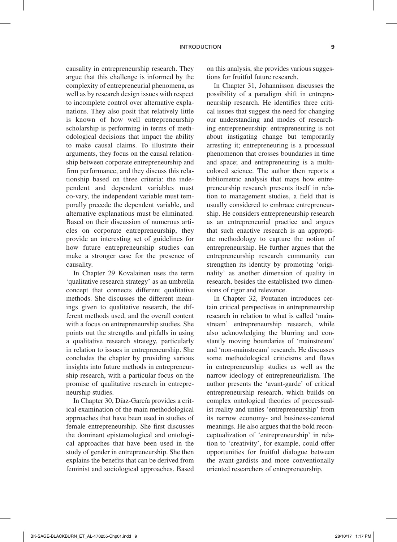causality in entrepreneurship research. They argue that this challenge is informed by the complexity of entrepreneurial phenomena, as well as by research design issues with respect to incomplete control over alternative explanations. They also posit that relatively little is known of how well entrepreneurship scholarship is performing in terms of methodological decisions that impact the ability to make causal claims. To illustrate their arguments, they focus on the causal relationship between corporate entrepreneurship and firm performance, and they discuss this relationship based on three criteria: the independent and dependent variables must co-vary, the independent variable must temporally precede the dependent variable, and alternative explanations must be eliminated. Based on their discussion of numerous articles on corporate entrepreneurship, they provide an interesting set of guidelines for how future entrepreneurship studies can make a stronger case for the presence of causality.

In Chapter 29 Kovalainen uses the term 'qualitative research strategy' as an umbrella concept that connects different qualitative methods. She discusses the different meanings given to qualitative research, the different methods used, and the overall content with a focus on entrepreneurship studies. She points out the strengths and pitfalls in using a qualitative research strategy, particularly in relation to issues in entrepreneurship. She concludes the chapter by providing various insights into future methods in entrepreneurship research, with a particular focus on the promise of qualitative research in entrepreneurship studies.

In Chapter 30, Díaz-García provides a critical examination of the main methodological approaches that have been used in studies of female entrepreneurship. She first discusses the dominant epistemological and ontological approaches that have been used in the study of gender in entrepreneurship. She then explains the benefits that can be derived from feminist and sociological approaches. Based on this analysis, she provides various suggestions for fruitful future research.

In Chapter 31, Johannisson discusses the possibility of a paradigm shift in entrepreneurship research. He identifies three critical issues that suggest the need for changing our understanding and modes of researching entrepreneurship: entrepreneuring is not about instigating change but temporarily arresting it; entrepreneuring is a processual phenomenon that crosses boundaries in time and space; and entrepreneuring is a multicolored science. The author then reports a bibliometric analysis that maps how entrepreneurship research presents itself in relation to management studies, a field that is usually considered to embrace entrepreneurship. He considers entrepreneurship research as an entrepreneurial practice and argues that such enactive research is an appropriate methodology to capture the notion of entrepreneurship. He further argues that the entrepreneurship research community can strengthen its identity by promoting 'originality' as another dimension of quality in research, besides the established two dimensions of rigor and relevance.

In Chapter 32, Poutanen introduces certain critical perspectives in entrepreneurship research in relation to what is called 'mainstream' entrepreneurship research, while also acknowledging the blurring and constantly moving boundaries of 'mainstream' and 'non-mainstream' research. He discusses some methodological criticisms and flaws in entrepreneurship studies as well as the narrow ideology of entrepreneurialism. The author presents the 'avant-garde' of critical entrepreneurship research, which builds on complex ontological theories of processualist reality and unties 'entrepreneurship' from its narrow economy- and business-centered meanings. He also argues that the bold reconceptualization of 'entrepreneurship' in relation to 'creativity', for example, could offer opportunities for fruitful dialogue between the avant-gardists and more conventionally oriented researchers of entrepreneurship.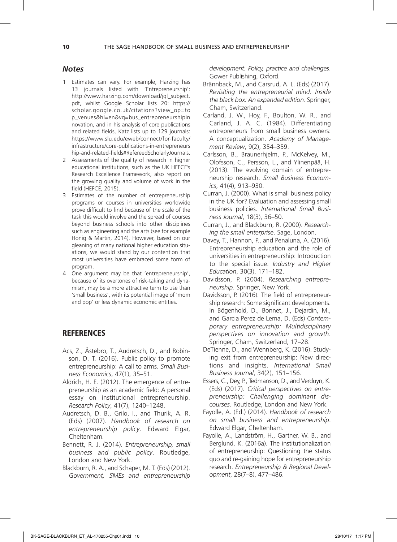#### *Notes*

- 1 Estimates can vary. For example, Harzing has 13 journals listed with 'Entrepreneurship': http://www.harzing.com/download/jql\_subject. pdf, whilst Google Scholar lists 20: https:// scholar.google.co.uk/citations?view\_op=to p\_venues&hl=en&vq=bus\_entrepreneurshipin novation, and in his analysis of core publications and related fields, Katz lists up to 129 journals: https://www.slu.edu/eweb/connect/for-faculty/ infrastructure/core-publications-in-entrepreneurs hip-and-related-fields#RefereedScholarlyJournals.
- 2 Assessments of the quality of research in higher educational institutions, such as the UK HEFCE's Research Excellence Framework, also report on the growing quality and volume of work in the field (HEFCE, 2015).
- 3 Estimates of the number of entrepreneurship programs or courses in universities worldwide prove difficult to find because of the scale of the task this would involve and the spread of courses beyond business schools into other disciplines such as engineering and the arts (see for example Honig & Martin, 2014). However, based on our gleaning of many national higher education situations, we would stand by our contention that most universities have embraced some form of program.
- 4 One argument may be that 'entrepreneurship', because of its overtones of risk-taking and dynamism, may be a more attractive term to use than 'small business', with its potential image of 'mom and pop' or less dynamic economic entities.

#### **REFERENCES**

- Acs, Z., Åstebro, T., Audretsch, D., and Robinson, D. T. (2016). Public policy to promote entrepreneurship: A call to arms. *Small Business Economics*, 47(1), 35–51.
- Aldrich, H. E. (2012). The emergence of entrepreneurship as an academic field: A personal essay on institutional entrepreneurship. *Research Policy*, 41(7), 1240–1248.
- Audretsch, D. B., Grilo, I., and Thurik, A. R. (Eds) (2007). *Handbook of research on entrepreneurship policy*. Edward Elgar, Cheltenham.
- Bennett, R. J. (2014). *Entrepreneurship, small business and public policy*. Routledge, London and New York.
- Blackburn, R. A., and Schaper, M. T. (Eds) (2012). *Government, SMEs and entrepreneurship*

*development. Policy, practice and challenges*. Gower Publishing, Oxford.

- Brännback, M., and Carsrud, A. L. (Eds) (2017). *Revisiting the entrepreneurial mind: Inside the black box: An expanded edition*. Springer, Cham, Switzerland.
- Carland, J. W., Hoy, F., Boulton, W. R., and Carland, J. A. C. (1984). Differentiating entrepreneurs from small business owners: A conceptualization. *Academy of Management Review*, 9(2), 354–359.
- Carlsson, B., Braunerhjelm, P., McKelvey, M., Olofsson, C., Persson, L., and Ylinenpää, H. (2013). The evolving domain of entrepreneurship research. *Small Business Economics*, 41(4), 913–930.
- Curran, J. (2000). What is small business policy in the UK for? Evaluation and assessing small business policies. *International Small Business Journal*, 18(3), 36–50.
- Curran, J., and Blackburn, R. (2000). *Researching the small enterprise*. Sage, London.
- Davey, T., Hannon, P., and Penaluna, A. (2016). Entrepreneurship education and the role of universities in entrepreneurship: Introduction to the special issue. *Industry and Higher Education*, 30(3), 171–182.
- Davidsson, P. (2004). *Researching entrepreneurship*. Springer, New York.
- Davidsson, P. (2016). The field of entrepreneurship research: Some significant developments. In Bögenhold, D., Bonnet, J., Dejardin, M., and Garcia Perez de Lema, D. (Eds) *Contemporary entrepreneurship: Multidisciplinary perspectives on innovation and growth*. Springer, Cham, Switzerland, 17–28.
- DeTienne, D., and Wennberg, K. (2016). Studying exit from entrepreneurship: New directions and insights. *International Small Business Journal*, 34(2), 151–156.
- Essers, C., Dey, P., Tedmanson, D., and Verduyn, K. (Eds) (2017). *Critical perspectives on entrepreneurship: Challenging dominant discourses*. Routledge, London and New York.
- Fayolle, A. (Ed.) (2014). *Handbook of research on small business and entrepreneurship*. Edward Elgar, Cheltenham.
- Fayolle, A., Landström, H., Gartner, W. B., and Berglund, K. (2016a). The institutionalization of entrepreneurship: Questioning the status quo and re-gaining hope for entrepreneurship research. *Entrepreneurship & Regional Development*, 28(7–8), 477–486.